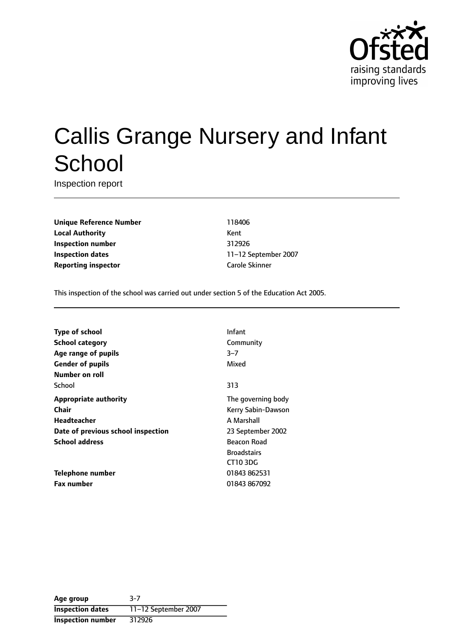

# Callis Grange Nursery and Infant **School**

Inspection report

**Unique Reference Number** 118406 **Local Authority** Kent **Inspection number** 312926 **Inspection dates** 11-12 September 2007 **Reporting inspector** Carole Skinner

This inspection of the school was carried out under section 5 of the Education Act 2005.

| <b>Type of school</b>              | Infant             |
|------------------------------------|--------------------|
| School category                    | Community          |
| Age range of pupils                | $3 - 7$            |
| <b>Gender of pupils</b>            | Mixed              |
| Number on roll                     |                    |
| School                             | 313                |
| <b>Appropriate authority</b>       | The governing body |
| Chair                              | Kerry Sabin-Dawson |
| <b>Headteacher</b>                 | A Marshall         |
| Date of previous school inspection | 23 September 2002  |
| <b>School address</b>              | Beacon Road        |
|                                    | <b>Broadstairs</b> |
|                                    | CT103DG            |
| Telephone number                   | 01843 862531       |
| <b>Fax number</b>                  | 01843 867092       |

| Age group                | $3-7$                |
|--------------------------|----------------------|
| <b>Inspection dates</b>  | 11-12 September 2007 |
| <b>Inspection number</b> | 312926               |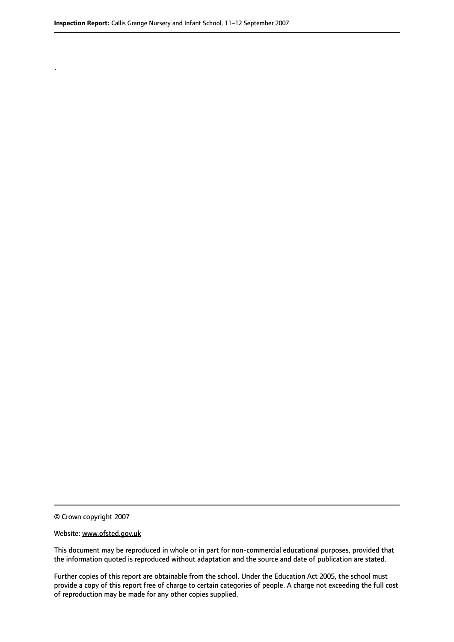.

© Crown copyright 2007

#### Website: www.ofsted.gov.uk

This document may be reproduced in whole or in part for non-commercial educational purposes, provided that the information quoted is reproduced without adaptation and the source and date of publication are stated.

Further copies of this report are obtainable from the school. Under the Education Act 2005, the school must provide a copy of this report free of charge to certain categories of people. A charge not exceeding the full cost of reproduction may be made for any other copies supplied.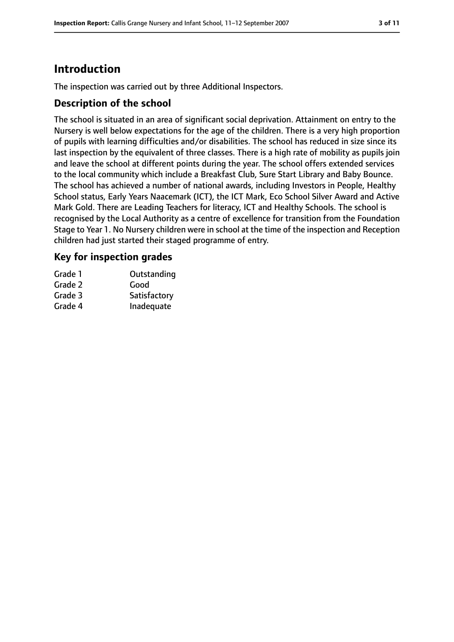# **Introduction**

The inspection was carried out by three Additional Inspectors.

#### **Description of the school**

The school is situated in an area of significant social deprivation. Attainment on entry to the Nursery is well below expectations for the age of the children. There is a very high proportion of pupils with learning difficulties and/or disabilities. The school has reduced in size since its last inspection by the equivalent of three classes. There is a high rate of mobility as pupils join and leave the school at different points during the year. The school offers extended services to the local community which include a Breakfast Club, Sure Start Library and Baby Bounce. The school has achieved a number of national awards, including Investors in People, Healthy School status, Early Years Naacemark (ICT), the ICT Mark, Eco School Silver Award and Active Mark Gold. There are Leading Teachers for literacy, ICT and Healthy Schools. The school is recognised by the Local Authority as a centre of excellence for transition from the Foundation Stage to Year 1. No Nursery children were in school at the time of the inspection and Reception children had just started their staged programme of entry.

#### **Key for inspection grades**

| Grade 1 | Outstanding  |
|---------|--------------|
| Grade 2 | Good         |
| Grade 3 | Satisfactory |
| Grade 4 | Inadequate   |
|         |              |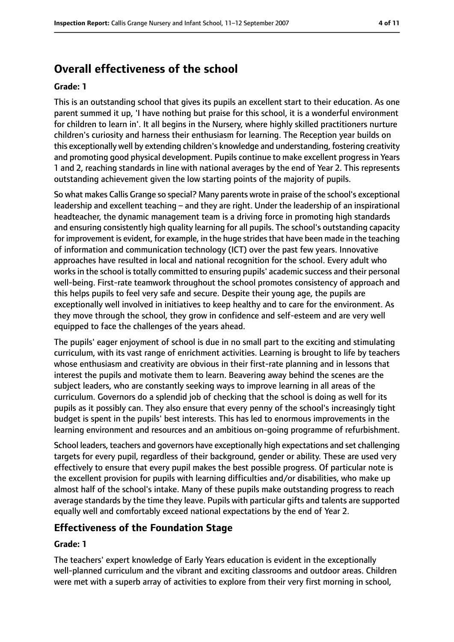# **Overall effectiveness of the school**

#### **Grade: 1**

This is an outstanding school that gives its pupils an excellent start to their education. As one parent summed it up, 'I have nothing but praise for this school, it is a wonderful environment for children to learn in'. It all begins in the Nursery, where highly skilled practitioners nurture children's curiosity and harness their enthusiasm for learning. The Reception year builds on this exceptionally well by extending children's knowledge and understanding, fostering creativity and promoting good physical development. Pupils continue to make excellent progress in Years 1 and 2, reaching standards in line with national averages by the end of Year 2. This represents outstanding achievement given the low starting points of the majority of pupils.

So what makes Callis Grange so special? Many parents wrote in praise of the school's exceptional leadership and excellent teaching - and they are right. Under the leadership of an inspirational headteacher, the dynamic management team is a driving force in promoting high standards and ensuring consistently high quality learning for all pupils. The school's outstanding capacity for improvement is evident, for example, in the huge strides that have been made in the teaching of information and communication technology (ICT) over the past few years. Innovative approaches have resulted in local and national recognition for the school. Every adult who works in the school is totally committed to ensuring pupils' academic success and their personal well-being. First-rate teamwork throughout the school promotes consistency of approach and this helps pupils to feel very safe and secure. Despite their young age, the pupils are exceptionally well involved in initiatives to keep healthy and to care for the environment. As they move through the school, they grow in confidence and self-esteem and are very well equipped to face the challenges of the years ahead.

The pupils' eager enjoyment of school is due in no small part to the exciting and stimulating curriculum, with its vast range of enrichment activities. Learning is brought to life by teachers whose enthusiasm and creativity are obvious in their first-rate planning and in lessons that interest the pupils and motivate them to learn. Beavering away behind the scenes are the subject leaders, who are constantly seeking ways to improve learning in all areas of the curriculum. Governors do a splendid job of checking that the school is doing as well for its pupils as it possibly can. They also ensure that every penny of the school's increasingly tight budget is spent in the pupils' best interests. This has led to enormous improvements in the learning environment and resources and an ambitious on-going programme of refurbishment.

School leaders, teachers and governors have exceptionally high expectations and set challenging targets for every pupil, regardless of their background, gender or ability. These are used very effectively to ensure that every pupil makes the best possible progress. Of particular note is the excellent provision for pupils with learning difficulties and/or disabilities, who make up almost half of the school's intake. Many of these pupils make outstanding progress to reach average standards by the time they leave. Pupils with particular gifts and talents are supported equally well and comfortably exceed national expectations by the end of Year 2.

## **Effectiveness of the Foundation Stage**

#### **Grade: 1**

The teachers' expert knowledge of Early Years education is evident in the exceptionally well-planned curriculum and the vibrant and exciting classrooms and outdoor areas. Children were met with a superb array of activities to explore from their very first morning in school,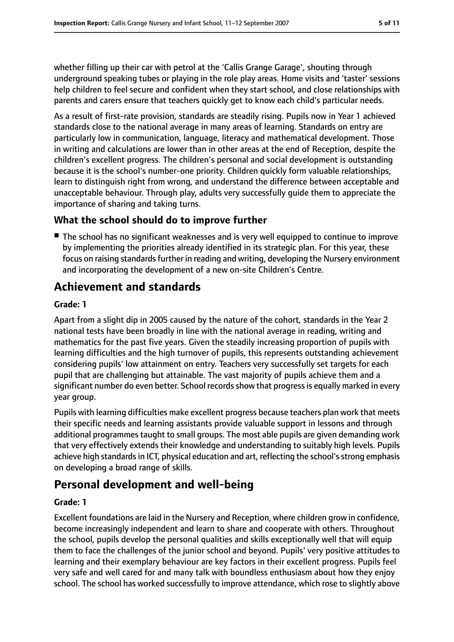whether filling up their car with petrol at the 'Callis Grange Garage', shouting through underground speaking tubes or playing in the role play areas. Home visits and 'taster' sessions help children to feel secure and confident when they start school, and close relationships with parents and carers ensure that teachers quickly get to know each child's particular needs.

As a result of first-rate provision, standards are steadily rising. Pupils now in Year 1 achieved standards close to the national average in many areas of learning. Standards on entry are particularly low in communication, language, literacy and mathematical development. Those in writing and calculations are lower than in other areas at the end of Reception, despite the children's excellent progress. The children's personal and social development is outstanding because it is the school's number-one priority. Children quickly form valuable relationships, learn to distinguish right from wrong, and understand the difference between acceptable and unacceptable behaviour. Through play, adults very successfully guide them to appreciate the importance of sharing and taking turns.

## **What the school should do to improve further**

■ The school has no significant weaknesses and is very well equipped to continue to improve by implementing the priorities already identified in its strategic plan. For this year, these focus on raising standards further in reading and writing, developing the Nursery environment and incorporating the development of a new on-site Children's Centre.

# **Achievement and standards**

## **Grade: 1**

Apart from a slight dip in 2005 caused by the nature of the cohort, standards in the Year 2 national tests have been broadly in line with the national average in reading, writing and mathematics for the past five years. Given the steadily increasing proportion of pupils with learning difficulties and the high turnover of pupils, this represents outstanding achievement considering pupils' low attainment on entry. Teachers very successfully set targets for each pupil that are challenging but attainable. The vast majority of pupils achieve them and a significant number do even better. School records show that progress is equally marked in every year group.

Pupils with learning difficulties make excellent progress because teachers plan work that meets their specific needs and learning assistants provide valuable support in lessons and through additional programmes taught to small groups. The most able pupils are given demanding work that very effectively extends their knowledge and understanding to suitably high levels. Pupils achieve high standards in ICT, physical education and art, reflecting the school's strong emphasis on developing a broad range of skills.

## **Personal development and well-being**

## **Grade: 1**

Excellent foundations are laid in the Nursery and Reception, where children grow in confidence, become increasingly independent and learn to share and cooperate with others. Throughout the school, pupils develop the personal qualities and skills exceptionally well that will equip them to face the challenges of the junior school and beyond. Pupils' very positive attitudes to learning and their exemplary behaviour are key factors in their excellent progress. Pupils feel very safe and well cared for and many talk with boundless enthusiasm about how they enjoy school. The school has worked successfully to improve attendance, which rose to slightly above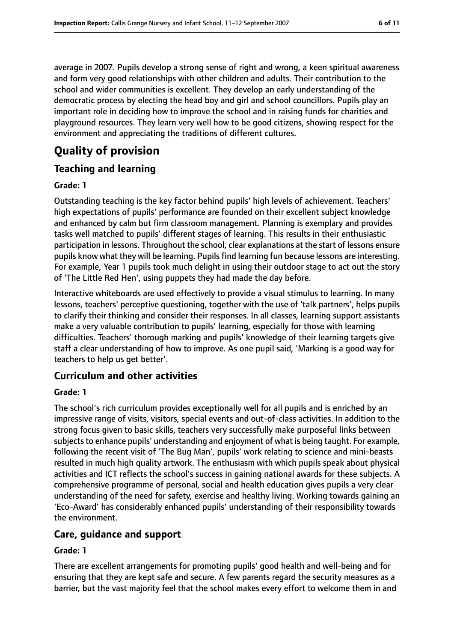average in 2007. Pupils develop a strong sense of right and wrong, a keen spiritual awareness and form very good relationships with other children and adults. Their contribution to the school and wider communities is excellent. They develop an early understanding of the democratic process by electing the head boy and girl and school councillors. Pupils play an important role in deciding how to improve the school and in raising funds for charities and playground resources. They learn very well how to be good citizens, showing respect for the environment and appreciating the traditions of different cultures.

# **Quality of provision**

## **Teaching and learning**

#### **Grade: 1**

Outstanding teaching is the key factor behind pupils' high levels of achievement. Teachers' high expectations of pupils' performance are founded on their excellent subject knowledge and enhanced by calm but firm classroom management. Planning is exemplary and provides tasks well matched to pupils' different stages of learning. This results in their enthusiastic participation in lessons. Throughout the school, clear explanations at the start of lessons ensure pupils know what they will be learning. Pupils find learning fun because lessons are interesting. For example, Year 1 pupils took much delight in using their outdoor stage to act out the story of 'The Little Red Hen', using puppets they had made the day before.

Interactive whiteboards are used effectively to provide a visual stimulus to learning. In many lessons, teachers' perceptive questioning, together with the use of 'talk partners', helps pupils to clarify their thinking and consider their responses. In all classes, learning support assistants make a very valuable contribution to pupils' learning, especially for those with learning difficulties. Teachers' thorough marking and pupils' knowledge of their learning targets give staff a clear understanding of how to improve. As one pupil said, 'Marking is a good way for teachers to help us get better'.

#### **Curriculum and other activities**

#### **Grade: 1**

The school's rich curriculum provides exceptionally well for all pupils and is enriched by an impressive range of visits, visitors, special events and out-of-class activities. In addition to the strong focus given to basic skills, teachers very successfully make purposeful links between subjects to enhance pupils' understanding and enjoyment of what is being taught. For example, following the recent visit of 'The Bug Man', pupils' work relating to science and mini-beasts resulted in much high quality artwork. The enthusiasm with which pupils speak about physical activities and ICT reflects the school's success in gaining national awards for these subjects. A comprehensive programme of personal, social and health education gives pupils a very clear understanding of the need for safety, exercise and healthy living. Working towards gaining an 'Eco-Award' has considerably enhanced pupils' understanding of their responsibility towards the environment.

## **Care, guidance and support**

#### **Grade: 1**

There are excellent arrangements for promoting pupils' good health and well-being and for ensuring that they are kept safe and secure. A few parents regard the security measures as a barrier, but the vast majority feel that the school makes every effort to welcome them in and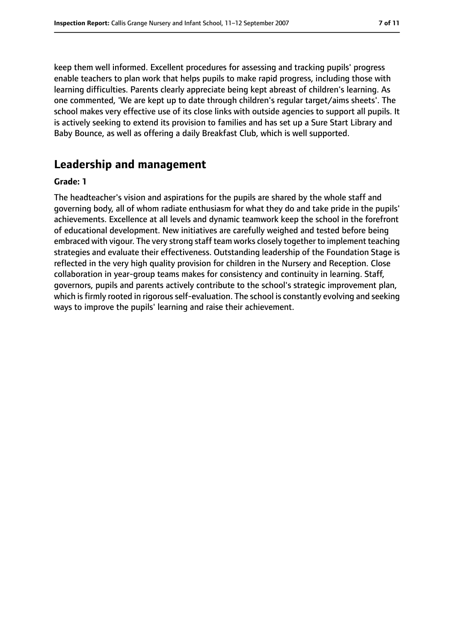keep them well informed. Excellent procedures for assessing and tracking pupils' progress enable teachers to plan work that helps pupils to make rapid progress, including those with learning difficulties. Parents clearly appreciate being kept abreast of children's learning. As one commented, 'We are kept up to date through children's regular target/aims sheets'. The school makes very effective use of its close links with outside agencies to support all pupils. It is actively seeking to extend its provision to families and has set up a Sure Start Library and Baby Bounce, as well as offering a daily Breakfast Club, which is well supported.

## **Leadership and management**

#### **Grade: 1**

The headteacher's vision and aspirations for the pupils are shared by the whole staff and governing body, all of whom radiate enthusiasm for what they do and take pride in the pupils' achievements. Excellence at all levels and dynamic teamwork keep the school in the forefront of educational development. New initiatives are carefully weighed and tested before being embraced with vigour. The very strong staff team works closely together to implement teaching strategies and evaluate their effectiveness. Outstanding leadership of the Foundation Stage is reflected in the very high quality provision for children in the Nursery and Reception. Close collaboration in year-group teams makes for consistency and continuity in learning. Staff, governors, pupils and parents actively contribute to the school's strategic improvement plan, which is firmly rooted in rigorous self-evaluation. The school is constantly evolving and seeking ways to improve the pupils' learning and raise their achievement.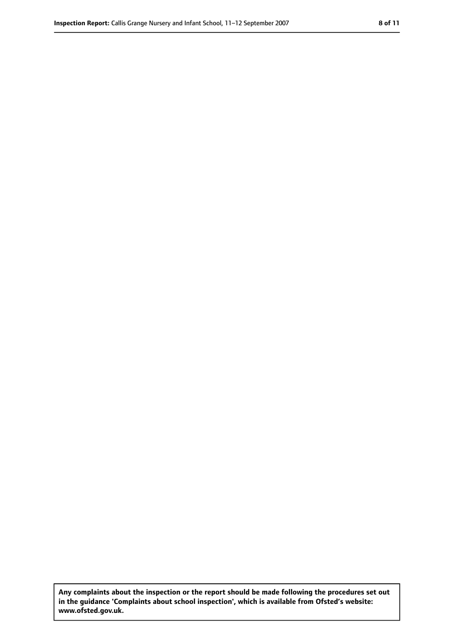**Any complaints about the inspection or the report should be made following the procedures set out in the guidance 'Complaints about school inspection', which is available from Ofsted's website: www.ofsted.gov.uk.**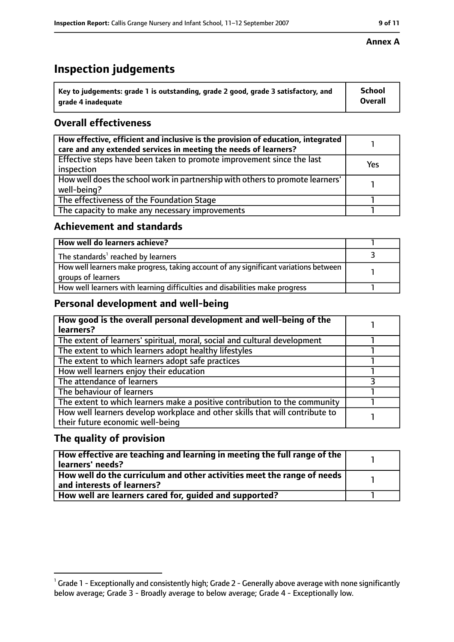## **Inspection judgements**

| $^{\backprime}$ Key to judgements: grade 1 is outstanding, grade 2 good, grade 3 satisfactory, and | <b>School</b>  |
|----------------------------------------------------------------------------------------------------|----------------|
| arade 4 inadequate                                                                                 | <b>Overall</b> |

## **Overall effectiveness**

| How effective, efficient and inclusive is the provision of education, integrated<br>care and any extended services in meeting the needs of learners? |     |
|------------------------------------------------------------------------------------------------------------------------------------------------------|-----|
| Effective steps have been taken to promote improvement since the last<br>inspection                                                                  | Yes |
| How well does the school work in partnership with others to promote learners'<br>well-being?                                                         |     |
| The effectiveness of the Foundation Stage                                                                                                            |     |
| The capacity to make any necessary improvements                                                                                                      |     |

#### **Achievement and standards**

| How well do learners achieve?                                                                               |  |
|-------------------------------------------------------------------------------------------------------------|--|
| The standards <sup>1</sup> reached by learners                                                              |  |
| How well learners make progress, taking account of any significant variations between<br>groups of learners |  |
| How well learners with learning difficulties and disabilities make progress                                 |  |

### **Personal development and well-being**

| How good is the overall personal development and well-being of the<br>learners?                                  |  |
|------------------------------------------------------------------------------------------------------------------|--|
| The extent of learners' spiritual, moral, social and cultural development                                        |  |
| The extent to which learners adopt healthy lifestyles                                                            |  |
| The extent to which learners adopt safe practices                                                                |  |
| How well learners enjoy their education                                                                          |  |
| The attendance of learners                                                                                       |  |
| The behaviour of learners                                                                                        |  |
| The extent to which learners make a positive contribution to the community                                       |  |
| How well learners develop workplace and other skills that will contribute to<br>their future economic well-being |  |

## **The quality of provision**

| How effective are teaching and learning in meeting the full range of the<br>learners' needs?          |  |
|-------------------------------------------------------------------------------------------------------|--|
| How well do the curriculum and other activities meet the range of needs<br>and interests of learners? |  |
| How well are learners cared for, quided and supported?                                                |  |

#### **Annex A**

 $^1$  Grade 1 - Exceptionally and consistently high; Grade 2 - Generally above average with none significantly below average; Grade 3 - Broadly average to below average; Grade 4 - Exceptionally low.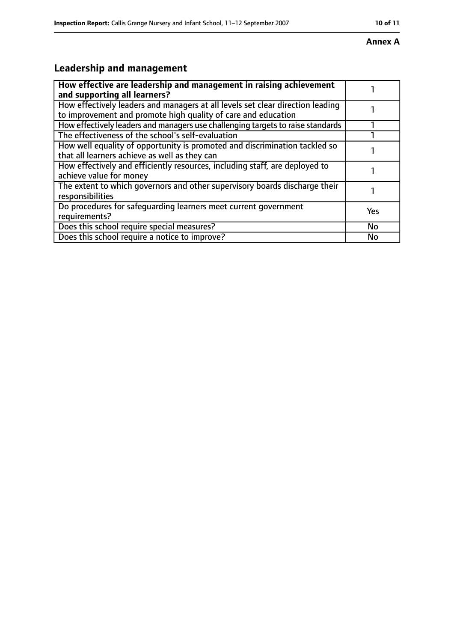#### **Annex A**

# **Leadership and management**

| How effective are leadership and management in raising achievement<br>and supporting all learners?                                              |           |
|-------------------------------------------------------------------------------------------------------------------------------------------------|-----------|
| How effectively leaders and managers at all levels set clear direction leading<br>to improvement and promote high quality of care and education |           |
| How effectively leaders and managers use challenging targets to raise standards                                                                 |           |
| The effectiveness of the school's self-evaluation                                                                                               |           |
| How well equality of opportunity is promoted and discrimination tackled so<br>that all learners achieve as well as they can                     |           |
| How effectively and efficiently resources, including staff, are deployed to<br>achieve value for money                                          |           |
| The extent to which governors and other supervisory boards discharge their<br>responsibilities                                                  |           |
| Do procedures for safequarding learners meet current government<br>requirements?                                                                | Yes       |
| Does this school require special measures?                                                                                                      | <b>No</b> |
| Does this school require a notice to improve?                                                                                                   | No        |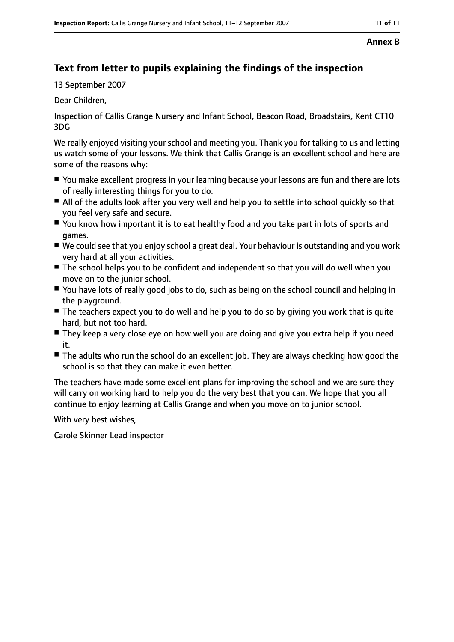#### **Annex B**

## **Text from letter to pupils explaining the findings of the inspection**

13 September 2007

Dear Children,

Inspection of Callis Grange Nursery and Infant School, Beacon Road, Broadstairs, Kent CT10 3DG

We really enjoyed visiting your school and meeting you. Thank you for talking to us and letting us watch some of your lessons. We think that Callis Grange is an excellent school and here are some of the reasons why:

- You make excellent progress in your learning because your lessons are fun and there are lots of really interesting things for you to do.
- All of the adults look after you very well and help you to settle into school quickly so that you feel very safe and secure.
- You know how important it is to eat healthy food and you take part in lots of sports and games.
- We could see that you enjoy school a great deal. Your behaviour is outstanding and you work very hard at all your activities.
- The school helps you to be confident and independent so that you will do well when you move on to the junior school.
- You have lots of really good jobs to do, such as being on the school council and helping in the playground.
- The teachers expect you to do well and help you to do so by giving you work that is quite hard, but not too hard.
- They keep a very close eye on how well you are doing and give you extra help if you need it.
- The adults who run the school do an excellent job. They are always checking how good the school is so that they can make it even better.

The teachers have made some excellent plans for improving the school and we are sure they will carry on working hard to help you do the very best that you can. We hope that you all continue to enjoy learning at Callis Grange and when you move on to junior school.

With very best wishes,

Carole Skinner Lead inspector